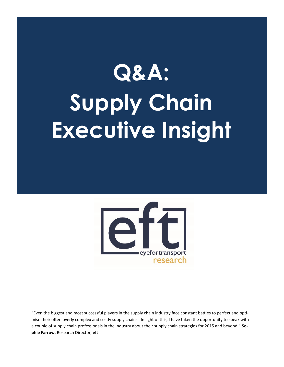# **Q&A: Supply Chain Executive Insight**



"Even the biggest and most successful players in the supply chain industry face constant battles to perfect and optimise their often overly complex and costly supply chains. In light of this, I have taken the opportunity to speak with a couple of supply chain professionals in the industry about their supply chain strategies for 2015 and beyond." **Sophie Farrow**, Research Director, **eft**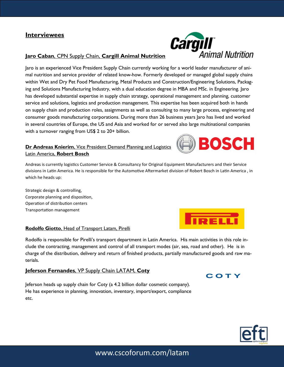

#### **Jaro Caban**, CPN Supply Chain, **Cargill Animal Nutrition**

Jaro is an experienced Vice President Supply Chain currently working for a world leader manufacturer of animal nutrition and service provider of related know-how. Formerly developed or managed global supply chains within Wet and Dry Pet Food Manufacturing, Metal Products and Construction/Engineering Solutions, Packaging and Solutions Manufacturing Industry, with a dual education degree in MBA and MSc. in Engineering. Jaro has developed substantial expertise in supply chain strategy, operational management and planning, customer service and solutions, logistics and production management. This expertise has been acquired both in hands on supply chain and production roles, assignments as well as consulting to many large process, engineering and consumer goods manufacturing corporations. During more than 26 business years Jaro has lived and worked in several countries of Europe, the US and Asia and worked for or served also large multinational companies with a turnover ranging from US\$ 2 to 20+ billion.

#### **Dr Andreas Knierim**, Vice President Demand Planning and Logistics Latin America, **Robert Bosch**

Andreas is currently logistics Customer Service & Consultancy for Original Equipment Manufacturers and their Service divisions in Latin America. He is responsible for the Automotive Aftermarket division of Robert Bosch in Latin America , in which he heads up:

Strategic design & controlling, Corporate planning and disposition, Operation of distribution centers Transportation management

#### **Rodolfo Giotto**, Head of Transport Latam, Pirelli

Rodolfo is responsible for Pirelli's transport department in Latin America. His main activities in this role include the contracting, management and control of all transport modes (air, sea, road and other). He is in charge of the distribution, delivery and return of finished products, partially manufactured goods and raw materials.

#### **Jeferson Fernandes**, VP Supply Chain LATAM, **Coty**

Jeferson heads up supply chain for Coty (a 4.2 billion dollar cosmetic company). He has experience in planning, innovation, inventory, import/export, compliance etc.



COTY

**BEI** 

BOSCH

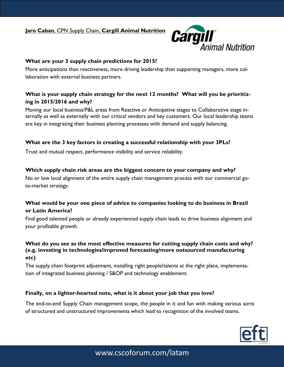**Jaro Caban**, CPN Supply Chain, **Cargill Animal Nutrition**



## **What are your 3 supply chain predictions for 2015?**

More anticipations than reactiveness, more driving leadership than supporting managers, more collaboration with external business partners.

# **What is your supply chain strategy for the next 12 months? What will you be prioritizing in 2015/2016 and why?**

Moving our local business/P&L areas from Reactive or Anticipative stages to Collaborative stage internally as well as externally with our critical vendors and key customers. Our local leadership teams are key in integrating their business planning processes with demand and supply balancing.

## **What are the 3 key factors in creating a successful relationship with your 3PLs?**

Trust and mutual respect, performance visibility and service reliability.

#### **Which supply chain risk areas are the biggest concern to your company and why?**

No or low local alignment of the entire supply chain management process with our commercial goto-market strategy.

## **What would be your one piece of advice to companies looking to do business in Brazil or Latin America?**

Find good talented people or already experienced supply chain leads to drive business alignment and your profitable growth.

## **What do you see as the most effective measures for cutting supply chain costs and why? (e.g. investing in technologies/improved forecasting/more outsourced manufacturing etc)**

The supply chain footprint adjustment, installing right people/talents at the right place, implementation of integrated business planning / S&OP and technology enablement.

#### **Finally, on a lighter-hearted note, what is it about your job that you love?**

The end-to-end Supply Chain management scope, the people in it and fun with making various sorts of structured and unstructured improvements which lead to recognition of the involved teams.

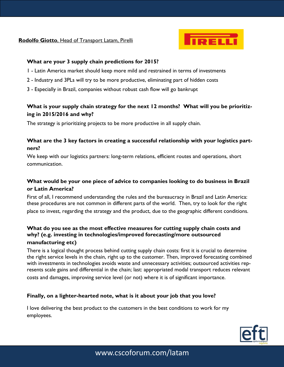### **Rodolfo Giotto**, Head of Transport Latam, Pirelli



#### **What are your 3 supply chain predictions for 2015?**

- 1 Latin America market should keep more mild and restrained in terms of investments
- 2 Industry and 3PLs will try to be more productive, eliminating part of hidden costs
- 3 Especially in Brazil, companies without robust cash flow will go bankrupt

## **What is your supply chain strategy for the next 12 months? What will you be prioritizing in 2015/2016 and why?**

The strategy is prioritizing projects to be more productive in all supply chain.

## **What are the 3 key factors in creating a successful relationship with your logistics partners?**

We keep with our logistics partners: long-term relations, efficient routes and operations, short communication.

## **What would be your one piece of advice to companies looking to do business in Brazil or Latin America?**

First of all, I recommend understanding the rules and the bureaucracy in Brazil and Latin America: these procedures are not common in different parts of the world. Then, try to look for the right place to invest, regarding the strategy and the product, due to the geographic different conditions.

## **What do you see as the most effective measures for cutting supply chain costs and why? (e.g. investing in technologies/improved forecasting/more outsourced manufacturing etc)**

There is a logical thought process behind cutting supply chain costs: first it is crucial to determine the right service levels in the chain, right up to the customer. Then, improved forecasting combined with investments in technologies avoids waste and unnecessary activities; outsourced activities represents scale gains and differential in the chain; last: appropriated modal transport reduces relevant costs and damages, improving service level (or not) where it is of significant importance.

## **Finally, on a lighter-hearted note, what is it about your job that you love?**

I love delivering the best product to the customers in the best conditions to work for my employees.

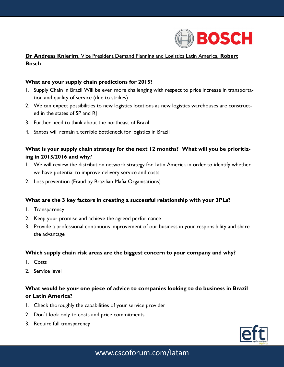

# **Dr Andreas Knierim**, Vice President Demand Planning and Logistics Latin America, **Robert Bosch**

#### **What are your supply chain predictions for 2015?**

- 1. Supply Chain in Brazil Will be even more challenging with respect to price increase in transportation and quality of service (due to strikes)
- 2. We can expect possibilities to new logistics locations as new logistics warehouses are constructed in the states of SP and RJ
- 3. Further need to think about the northeast of Brazil
- 4. Santos will remain a terrible bottleneck for logistics in Brazil

## **What is your supply chain strategy for the next 12 months? What will you be prioritizing in 2015/2016 and why?**

- 1. We will review the distribution network strategy for Latin America in order to identify whether we have potential to improve delivery service and costs
- 2. Loss prevention (Fraud by Brazilian Mafia Organisations)

#### **What are the 3 key factors in creating a successful relationship with your 3PLs?**

- 1. Transparency
- 2. Keep your promise and achieve the agreed performance
- 3. Provide a professional continuous improvement of our business in your responsibility and share the advantage

#### **Which supply chain risk areas are the biggest concern to your company and why?**

- 1. Costs
- 2. Service level

## **What would be your one piece of advice to companies looking to do business in Brazil or Latin America?**

- 1. Check thoroughly the capabilities of your service provider
- 2. Don`t look only to costs and price commitments
- 3. Require full transparency

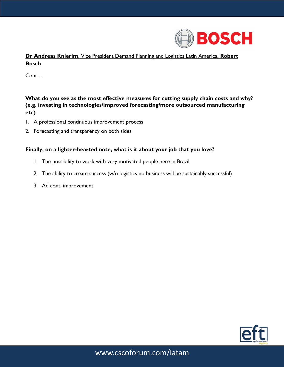

**Dr Andreas Knierim**, Vice President Demand Planning and Logistics Latin America, **Robert Bosch** 

Cont…

**What do you see as the most effective measures for cutting supply chain costs and why? (e.g. investing in technologies/improved forecasting/more outsourced manufacturing etc)**

- 1. A professional continuous improvement process
- 2. Forecasting and transparency on both sides

#### **Finally, on a lighter-hearted note, what is it about your job that you love?**

- 1. The possibility to work with very motivated people here in Brazil
- 2. The ability to create success (w/o logistics no business will be sustainably successful)
- 3. Ad cont. improvement

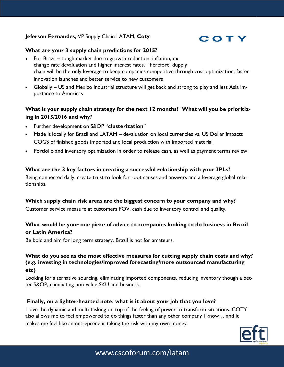## **Jeferson Fernandes**, VP Supply Chain LATAM, **Coty**



#### **What are your 3 supply chain predictions for 2015?**

- For Brazil tough market due to growth reduction, inflation, exchange rate devaluation and higher interest rates. Therefore, dupply chain will be the only leverage to keep companies competitive through cost optimization, faster innovation launches and better service to new customers
- Globally US and Mexico industrial structure will get back and strong to play and less Asia importance to Americas

## **What is your supply chain strategy for the next 12 months? What will you be prioritizing in 2015/2016 and why?**

- Further development on S&OP "**clusterization**"
- Made it locally for Brazil and LATAM devaluation on local currencies vs. US Dollar impacts COGS of finished goods imported and local production with imported material
- Portfolio and inventory optimization in order to release cash, as well as payment terms review

#### **What are the 3 key factors in creating a successful relationship with your 3PLs?**

Being connected daily, create trust to look for root causes and answers and a leverage global relationships.

#### **Which supply chain risk areas are the biggest concern to your company and why?**

Customer service measure at customers POV, cash due to inventory control and quality.

## **What would be your one piece of advice to companies looking to do business in Brazil or Latin America?**

Be bold and aim for long term strategy. Brazil is not for amateurs.

## **What do you see as the most effective measures for cutting supply chain costs and why? (e.g. investing in technologies/improved forecasting/more outsourced manufacturing etc)**

Looking for alternative sourcing, eliminating imported components, reducing inventory though a better S&OP, eliminating non-value SKU and business.

#### **Finally, on a lighter-hearted note, what is it about your job that you love?**

I love the dynamic and multi-tasking on top of the feeling of power to transform situations. COTY also allows me to feel empowered to do things faster than any other company I know… and it makes me feel like an entrepreneur taking the risk with my own money.